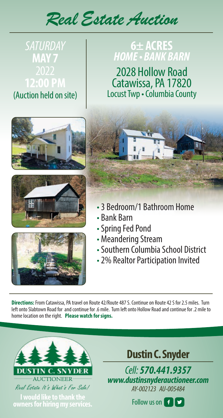*Real Estate Auction*

# *SATURDAY*  **MAY 7 12:00 PM**

(Auction held on site)

## **6± ACRES**  *HOME • BANK BARN*

2028 Hollow Road Catawissa, PA 17820 Locust Twp • Columbia County









- 3 Bedroom/1 Bathroom Home
- Bank Barn
- Spring Fed Pond
- Meandering Stream
- Southern Columbia School District
- 2% Realtor Participation Invited

**Directions:** From Catawissa, PA travel on Route 42/Route 487 S. Continue on Route 42 S for 2.5 miles. Turn left onto Slabtown Road for and continue for .6 mile. Turn left onto Hollow Road and continue for .2 mile to home location on the right. **Please watch for signs.**



**Follow us on Figure 1 would like to thank the light constant of Figure 1 would like to thank the angle of Figure 1 would be a strategy of Figure 1 would be a strategy of Figure 1 would be a strategy of Figure 1 would be a owners for hiring my services.**

**Dustin C. Snyder**

*Cell: 570.441.9357 www.dustinsnyderauctioneer.com AY-002123 AU-005484*